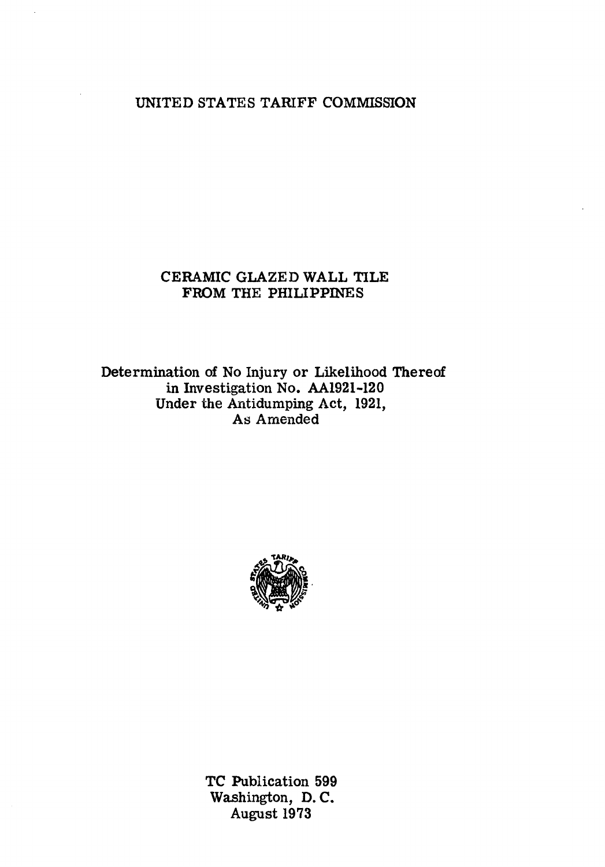# UNITED STATES TARIFF COMMISSION

# CERAMIC GLAZED WALL TILE FROM THE PHILIPPINES

Determination of No Injury or Likelihood Thereof in Investigation No. AA1921-120 Under the Antidumping Act, 1921, As Amended



TC Publication 599 Washington, D. C. August 1973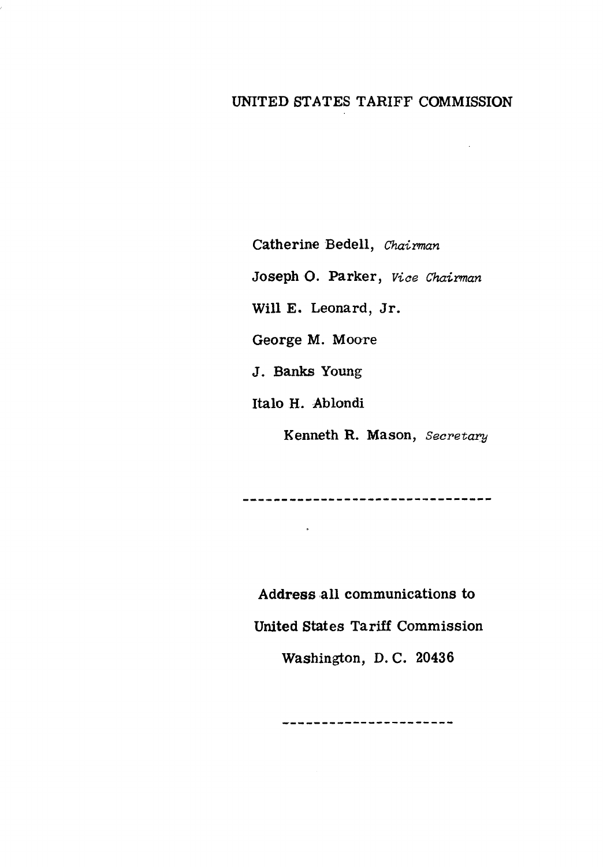# UNITED STATES TARIFF COMMISSION

Catherine Bedell, *Chairman* 

Joseph O. Parker, *Viae Chairman* 

Will E. Leonard, Jr.

George M. Moore

J. Banks Young

Italo H. Ablondi

 $\ddot{\bullet}$ 

Kenneth R. Mason, *Secretary* 

--------------------------------

Address all communications to United States Tariff Commission Washington, D. C. 20436

-----------------------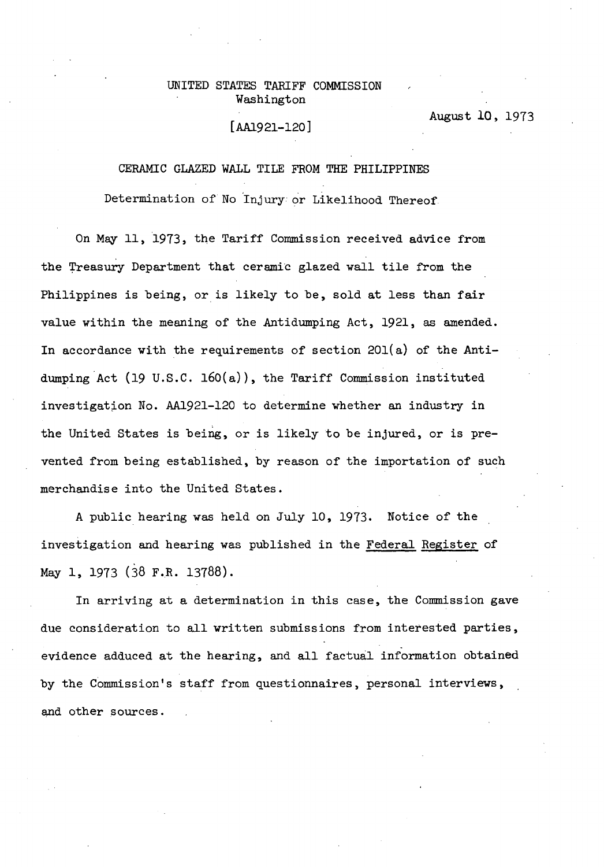# UNITED STATES TARIFF COMMISSION Washington

# [AA1921-120]

August 10, 1973

#### CERAMIC GLAZED WALL TILE FROM THE PHILIPPINES

Determination of No 'Injury or Likelihood Thereof

On May 11, 1973, the Tariff Commission received advice from the Treasury Department that ceramic glazed wall tile from the Philippines is being, or is likely to be, sold at less than fair value within the meaning of the Antidumping Act, 1921, as amended. In accordance with the requirements of section 20l(a) of the Antidumping Act (19 U.S.C. 160(a)), the Tariff Commission instituted investigation No. AA1921-120 to determine whether an industry in the United States is being, or is likely to be injured, or is prevented from being established, by reason of the importation of such merchandise into the United States.

A public hearing was held on July 10, 1973. Notice of the investigation and hearing was published in the Federal Register of May 1, 1973 (38 F.R. 13788).

In arriving at a determination in this case, the Commission gave due consideration to all written submissions from interested parties, evidence adduced at the hearing, and all factual information obtained by the Commission's staff from questionnaires, personal interviews, and other sources.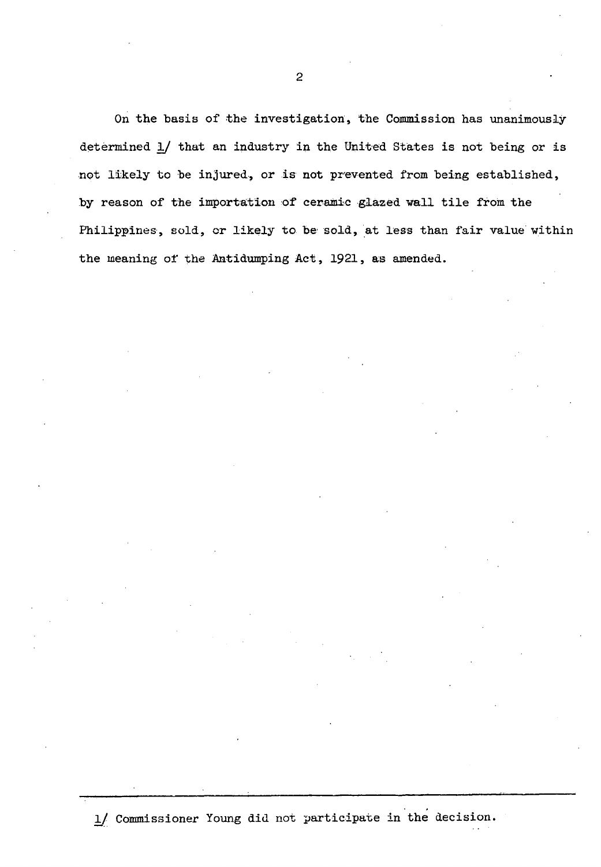On the basis of the investigation, the Commission has unanimously determined 1/ that an industry in the United States is not being or is not likely to be injured, or is not prevented from being established, by reason of the importation of ceramic glazed wall tile from the Philippines, sold, or likely to be sold, at less than fair value within the meaning of the Antidumping Act, 1921, as amended.

 $\frac{1}{2}$  Commissioner Young did not participate in the decision.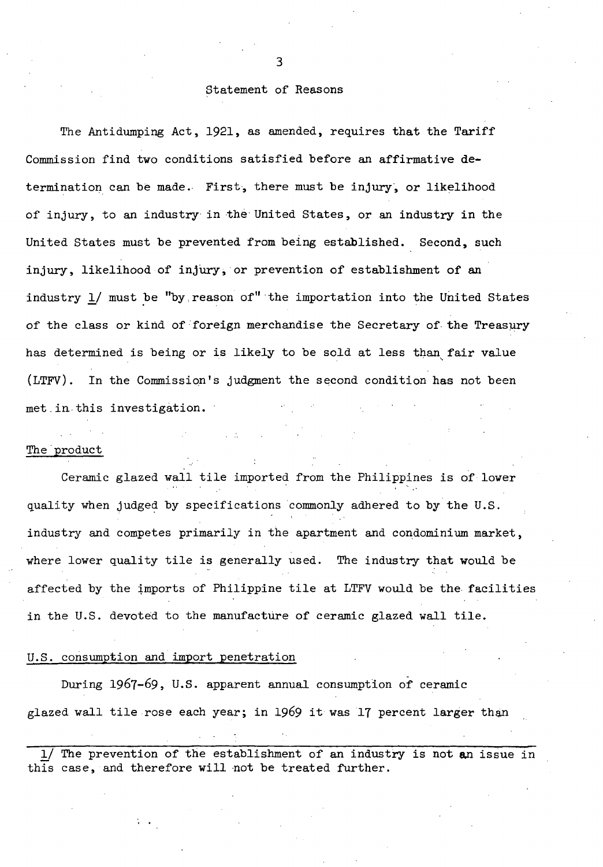## Statement of Reasons

The Antidumping Act, 1921, as amended, requires that the Tariff Commission find two conditions satisfied before an affirmative determination can be made. First, there must be injury, or likelihood of injury, to an industry in the United States, or an industry in the United States must be prevented from being established. Second, such injury, likelihood of inj'ury, or prevention of establishment of an industry 1/ must be "by reason of" the importation into the United States of the class or kind of foreign merchandise the Secretary of the Treasury has determined is being or is likely to be sold at less than, fair value (LTFV). In the Commission's judgment the second condition has not been met.in this investigation.

#### The product

Ceramic glazed wall tile imported from the Philippines is of lower quality when judged by specifications commonly adhered to by the U.S. industry and competes primarily in the apartment and condominium market, where lower quality tile is generally used. The industry that would be affected by the tmports of Philippine tile at LTFV would be the facilities in the U.S. devoted to the manufacture of ceramic glazed wall tile.

### U.S. consumption and import penetration

During 1967-69, U.S. apparent annual consumption of ceramic glazed wall tile rose each year; in 1969 it was 17 percent larger than

1/ The prevention of the establishment of an industry is not an issue in this case, and therefore will not be treated further.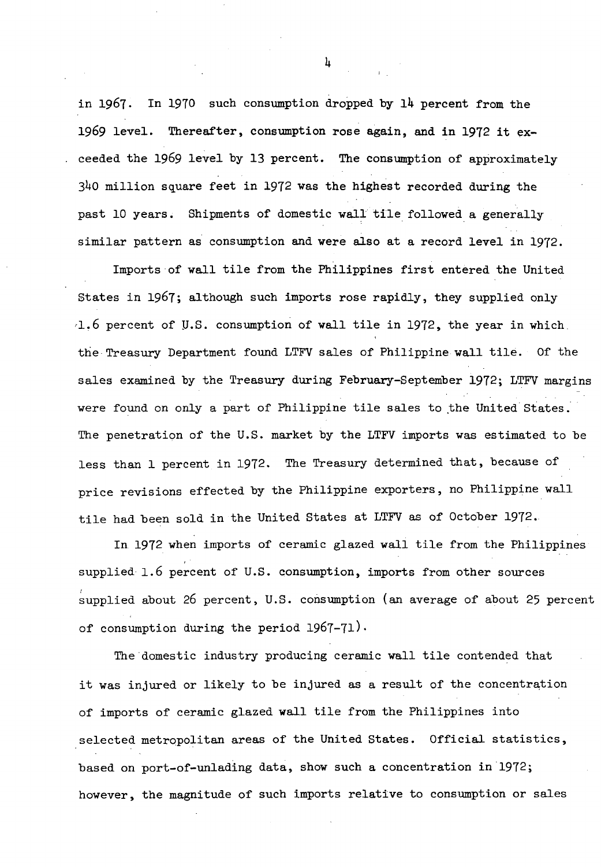in 1967. In 1970 such consumption dropped by 14 percent from the 1969 level. Thereafter, consumption rose again, and in 1972 it exceeded the 1969 level by 13 percent. The consumption of approximately 340 million square feet in 1972 was the highest recorded during the past 10 years. Shipments of domestic wall tile followed a generally similar pattern as consumption and were also at a record level in 1972.

Imports·of wall tile from the Philippines first entered the United States in 1967; although such imports rose rapidly, they supplied only *<sup>1</sup> 1.6* percent of JJ.S. consumption of wall tile in 1972, the year in which the Treasury Department found LTFV sales of Philippine wall tile. Of the sales examined by the Treasury during February-September 1972; LTFV margins were found on only a part of Philippine tile sales to the United States. The penetration of the U.S. market by the LTFV imports was estimated to be less than 1 percent in 1972. The Treasury determined that, because of price revisions effected by the Philippine exporters, no Philippine wall tile had been sold in the United States at LTFV as of October 1972.

In 1972 when imports of ceramic glazed wall tile from the Philippines supplied 1.6 percent of U.S. consumption, imports from other sources supplied about 26 percent, U.S. consumption (an average of about 25 percent of consumption during the period  $1967-71$ ).

The domestic industry producing ceramic wall tile contended that it was injured or likely to be injured as a result of the concentration of imports of ceramic glazed wall tile from the Philippines into selected metropolitan areas of the United States. Official statistics, based on port-of-unlading data, show such a concentration in 1972; however, the magnitude of such imports relative to consumption or sales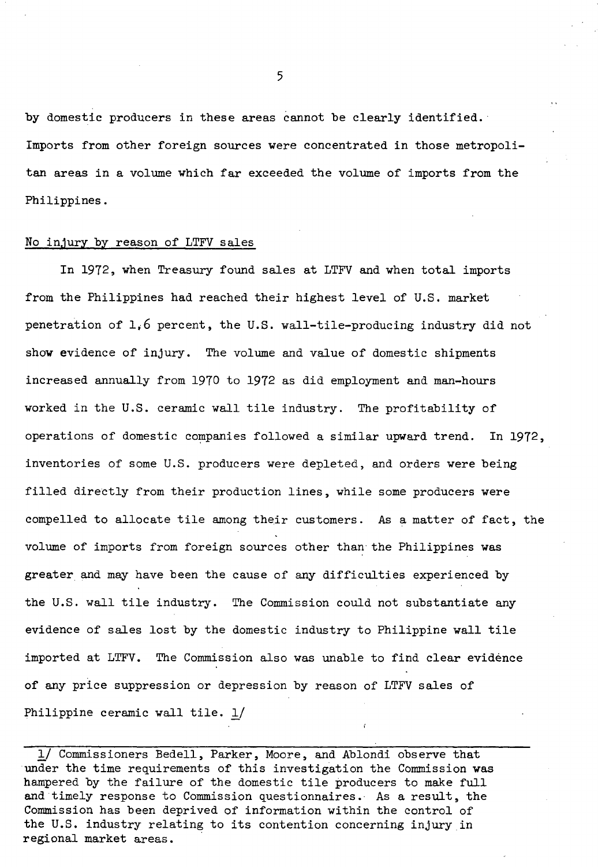by domestic producers in these areas cannot be clearly identified. Imports from other foreign sources were concentrated in those metropolitan areas in a volume which far exceeded the volume of imports from the Philippines.

### No injury by reason of LTFV sales

In 1972, when Treasury found sales at LTFV and when total imports from the Philippines had reached their highest level of U.S. market penetration of 1,6 percent, the U.S. wall-tile-producing industry did not show evidence of injury. The volume and value of domestic shipments increased annually from 1970 to 1972 as did employment and man-hours worked in the U.S. ceramic wall tile industry. The profitability of operations of domestic companies followed a similar upward trend. In  $1972$ , inventories of some U.S. producers were depleted, and orders were being filled directly from their production lines, while some producers were compelled to allocate tile among their customers. As a matter of fact, the volume of imports from foreign sources other than the Philippines was greater and may have been the cause of any difficulties experienced by the U.S. wall tile industry. The Commission could not substantiate any evidence of sales lost by the domestic industry to Philippine wall tile imported at LTFV. The Commission also was unable to find clear evidence of any price suppression or depression by reason of LTFV sales of Philippine ceramic wall tile. 1/

1/ Commissioners Bedell, Parker, Moore, and Ablondi observe that under the time requirements of this investigation the Commission was hampered by the failure of the domestic tile producers to make full and timely response to Commission questionnaires. As a result, the Commission has been deprived of information within the control of the U.S. industry relating to its contention concerning injury in regional market areas.